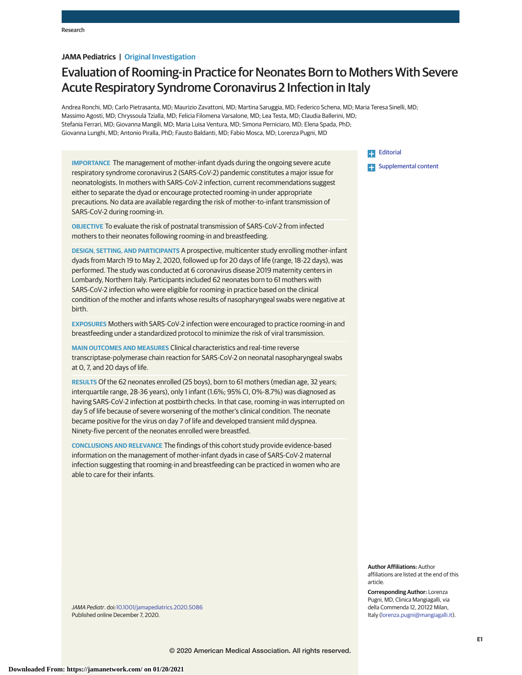# **JAMA Pediatrics | Original Investigation**

# Evaluation of Rooming-in Practice for Neonates Born to Mothers With Severe Acute Respiratory Syndrome Coronavirus 2 Infection in Italy

Andrea Ronchi, MD; Carlo Pietrasanta, MD; Maurizio Zavattoni, MD; Martina Saruggia, MD; Federico Schena, MD; Maria Teresa Sinelli, MD; Massimo Agosti, MD; Chryssoula Tzialla, MD; Felicia Filomena Varsalone, MD; Lea Testa, MD; Claudia Ballerini, MD; Stefania Ferrari, MD; Giovanna Mangili, MD; Maria Luisa Ventura, MD; Simona Perniciaro, MD; Elena Spada, PhD; Giovanna Lunghi, MD; Antonio Piralla, PhD; Fausto Baldanti, MD; Fabio Mosca, MD; Lorenza Pugni, MD

**IMPORTANCE** The management of mother-infant dyads during the ongoing severe acute respiratory syndrome coronavirus 2 (SARS-CoV-2) pandemic constitutes a major issue for neonatologists. In mothers with SARS-CoV-2 infection, current recommendations suggest either to separate the dyad or encourage protected rooming-in under appropriate precautions. No data are available regarding the risk of mother-to-infant transmission of SARS-CoV-2 during rooming-in.

**OBJECTIVE** To evaluate the risk of postnatal transmission of SARS-CoV-2 from infected mothers to their neonates following rooming-in and breastfeeding.

**DESIGN, SETTING, AND PARTICIPANTS** A prospective, multicenter study enrolling mother-infant dyads from March 19 to May 2, 2020, followed up for 20 days of life (range, 18-22 days), was performed. The study was conducted at 6 coronavirus disease 2019 maternity centers in Lombardy, Northern Italy. Participants included 62 neonates born to 61 mothers with SARS-CoV-2 infection who were eligible for rooming-in practice based on the clinical condition of the mother and infants whose results of nasopharyngeal swabs were negative at birth.

**EXPOSURES** Mothers with SARS-CoV-2 infection were encouraged to practice rooming-in and breastfeeding under a standardized protocol to minimize the risk of viral transmission.

**MAIN OUTCOMES AND MEASURES** Clinical characteristics and real-time reverse transcriptase-polymerase chain reaction for SARS-CoV-2 on neonatal nasopharyngeal swabs at 0, 7, and 20 days of life.

**RESULTS** Of the 62 neonates enrolled (25 boys), born to 61 mothers (median age, 32 years; interquartile range, 28-36 years), only 1 infant (1.6%; 95% CI, 0%-8.7%) was diagnosed as having SARS-CoV-2 infection at postbirth checks. In that case, rooming-in was interrupted on day 5 of life because of severe worsening of the mother's clinical condition. The neonate became positive for the virus on day 7 of life and developed transient mild dyspnea. Ninety-five percent of the neonates enrolled were breastfed.

**CONCLUSIONS AND RELEVANCE** The findings of this cohort study provide evidence-based information on the management of mother-infant dyads in case of SARS-CoV-2 maternal infection suggesting that rooming-in and breastfeeding can be practiced in women who are able to care for their infants.

**Editorial Examplemental content** 

**Author Affiliations:** Author affiliations are listed at the end of this article.

**Corresponding Author:** Lorenza Pugni, MD, Clinica Mangiagalli, via della Commenda 12, 20122 Milan, Italy (lorenza.pugni@mangiagalli.it).

JAMA Pediatr. doi:10.1001/jamapediatrics.2020.5086 Published online December 7, 2020.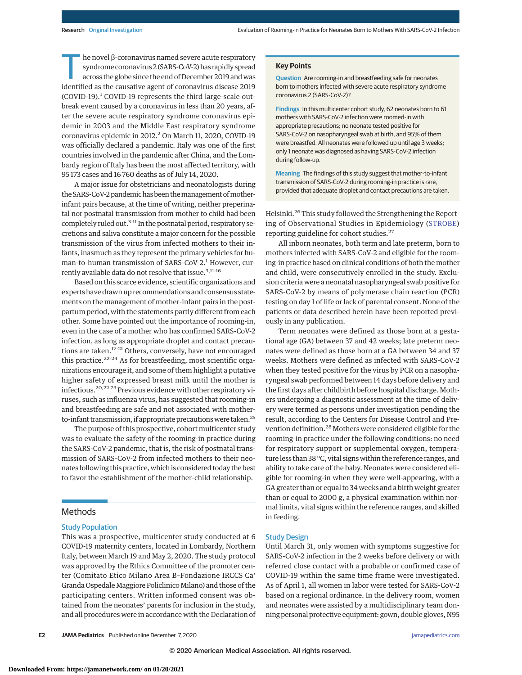$h$ e novel β-coronavirus named severe acute respiratory syndrome coronavirus 2 (SARS-CoV-2) has rapidly spread across the globe since the end of December 2019 andwas identified as the causative agent of coronavirus disease 2019 (COVID-19).<sup>1</sup> COVID-19 represents the third large-scale outbreak event caused by a coronavirus in less than 20 years, after the severe acute respiratory syndrome coronavirus epidemic in 2003 and the Middle East respiratory syndrome coronavirus epidemic in 2012.<sup>2</sup> On March 11, 2020, COVID-19 was officially declared a pandemic. Italy was one of the first countries involved in the pandemic after China, and the Lombardy region of Italy has been the most affected territory, with 95 173 cases and 16 760 deaths as of July 14, 2020.

A major issue for obstetricians and neonatologists during the SARS-CoV-2 pandemic has been the management of motherinfant pairs because, at the time of writing, neither preperinatal nor postnatal transmission from mother to child had been completely ruled out.<sup>3-11</sup> In the postnatal period, respiratory secretions and saliva constitute a major concern for the possible transmission of the virus from infected mothers to their infants, inasmuch as they represent the primary vehicles for human-to-human transmission of SARS-CoV-2.<sup>1</sup> However, currently available data do not resolve that issue.<sup>3,11-16</sup>

Based on this scarce evidence, scientific organizations and experts have drawn up recommendations and consensus statements on the management of mother-infant pairs in the postpartum period, with the statements partly different from each other. Some have pointed out the importance of rooming-in, even in the case of a mother who has confirmed SARS-CoV-2 infection, as long as appropriate droplet and contact precautions are taken.<sup>17-21</sup> Others, conversely, have not encouraged this practice. $22-24$  As for breastfeeding, most scientific organizations encourage it, and some of them highlight a putative higher safety of expressed breast milk until the mother is infectious.<sup>20,22,23</sup> Previous evidence with other respiratory viruses, such as influenza virus, has suggested that rooming-in and breastfeeding are safe and not associated with motherto-infant transmission, if appropriate precautions were taken.<sup>25</sup>

The purpose of this prospective, cohort multicenter study was to evaluate the safety of the rooming-in practice during the SARS-CoV-2 pandemic, that is, the risk of postnatal transmission of SARS-CoV-2 from infected mothers to their neonates following this practice, which is considered today the best to favor the establishment of the mother-child relationship.

# **Methods**

#### Study Population

This was a prospective, multicenter study conducted at 6 COVID-19 maternity centers, located in Lombardy, Northern Italy, between March 19 and May 2, 2020. The study protocol was approved by the Ethics Committee of the promoter center (Comitato Etico Milano Area B–Fondazione IRCCS Ca' Granda Ospedale Maggiore Policlinico Milano) and those of the participating centers. Written informed consent was obtained from the neonates' parents for inclusion in the study, and all procedures were in accordance with the Declaration of

**E2 JAMA Pediatrics** Published online December 7, 2020 **(Reprinted)** jamapediatrics.com

## **Key Points**

**Question** Are rooming-in and breastfeeding safe for neonates born to mothers infected with severe acute respiratory syndrome coronavirus 2 (SARS-CoV-2)?

**Findings** In this multicenter cohort study, 62 neonates born to 61 mothers with SARS-CoV-2 infection were roomed-in with appropriate precautions; no neonate tested positive for SARS-CoV-2 on nasopharyngeal swab at birth, and 95% of them were breastfed. All neonates were followed up until age 3 weeks; only 1 neonate was diagnosed as having SARS-CoV-2 infection during follow-up.

**Meaning** The findings of this study suggest that mother-to-infant transmission of SARS-CoV-2 during rooming-in practice is rare, provided that adequate droplet and contact precautions are taken.

Helsinki.<sup>26</sup> This study followed the Strengthening the Reporting of Observational Studies in Epidemiology (STROBE) reporting guideline for cohort studies.<sup>27</sup>

All inborn neonates, both term and late preterm, born to mothers infected with SARS-CoV-2 and eligible for the rooming-in practice based on clinical conditions of both the mother and child, were consecutively enrolled in the study. Exclusion criteria were a neonatal nasopharyngeal swab positive for SARS-CoV-2 by means of polymerase chain reaction (PCR) testing on day 1 of life or lack of parental consent. None of the patients or data described herein have been reported previously in any publication.

Term neonates were defined as those born at a gestational age (GA) between 37 and 42 weeks; late preterm neonates were defined as those born at a GA between 34 and 37 weeks. Mothers were defined as infected with SARS-CoV-2 when they tested positive for the virus by PCR on a nasopharyngeal swab performed between 14 days before delivery and the first days after childbirth before hospital discharge. Mothers undergoing a diagnostic assessment at the time of delivery were termed as persons under investigation pending the result, according to the Centers for Disease Control and Prevention definition.28Mothers were considered eligible for the rooming-in practice under the following conditions: no need for respiratory support or supplemental oxygen, temperature less than 38 °C, vital signs within the reference ranges, and ability to take care of the baby. Neonates were considered eligible for rooming-in when they were well-appearing, with a GA greater than or equal to 34 weeks and a birth weight greater than or equal to 2000 g, a physical examination within normal limits, vital signs within the reference ranges, and skilled in feeding.

### Study Design

Until March 31, only women with symptoms suggestive for SARS-CoV-2 infection in the 2 weeks before delivery or with referred close contact with a probable or confirmed case of COVID-19 within the same time frame were investigated. As of April 1, all women in labor were tested for SARS-CoV-2 based on a regional ordinance. In the delivery room, women and neonates were assisted by a multidisciplinary team donning personal protective equipment: gown, double gloves, N95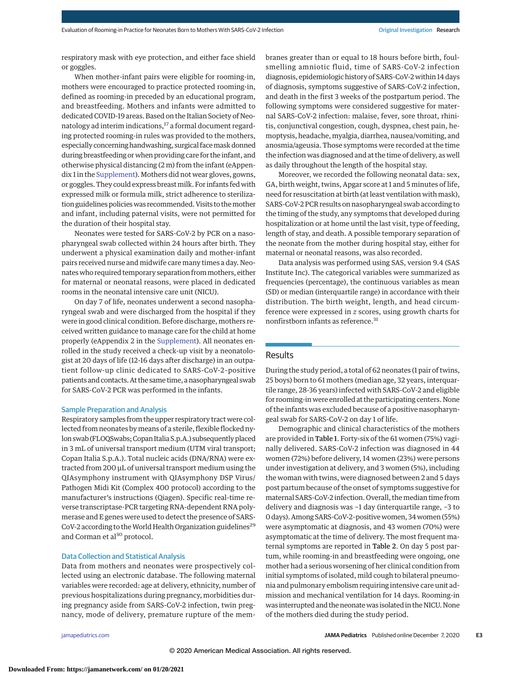respiratory mask with eye protection, and either face shield or goggles.

When mother-infant pairs were eligible for rooming-in, mothers were encouraged to practice protected rooming-in, defined as rooming-in preceded by an educational program, and breastfeeding. Mothers and infants were admitted to dedicated COVID-19 areas. Based on the Italian Society of Neonatology ad interim indications,<sup>17</sup> a formal document regarding protected rooming-in rules was provided to the mothers, especially concerning handwashing, surgical facemask donned during breastfeeding or when providing care for the infant, and otherwise physical distancing (2 m) from the infant (eAppendix 1 in the Supplement). Mothers did not wear gloves, gowns, or goggles. They could express breastmilk. For infants fed with expressed milk or formula milk, strict adherence to sterilization guidelines policies was recommended. Visits to the mother and infant, including paternal visits, were not permitted for the duration of their hospital stay.

Neonates were tested for SARS-CoV-2 by PCR on a nasopharyngeal swab collected within 24 hours after birth. They underwent a physical examination daily and mother-infant pairs received nurse and midwife care many times a day. Neonates who required temporary separation frommothers, either for maternal or neonatal reasons, were placed in dedicated rooms in the neonatal intensive care unit (NICU).

On day 7 of life, neonates underwent a second nasopharyngeal swab and were discharged from the hospital if they were in good clinical condition. Before discharge, mothers received written guidance to manage care for the child at home properly (eAppendix 2 in the Supplement). All neonates enrolled in the study received a check-up visit by a neonatologist at 20 days of life (12-16 days after discharge) in an outpatient follow-up clinic dedicated to SARS-CoV-2–positive patients and contacts. At the same time, a nasopharyngeal swab for SARS-CoV-2 PCR was performed in the infants.

#### Sample Preparation and Analysis

Respiratory samples from the upper respiratory tract were collected from neonates by means of a sterile, flexible flocked nylon swab (FLOQSwabs; Copan Italia S.p.A.) subsequently placed in 3 mL of universal transport medium (UTM viral transport; Copan Italia S.p.A.). Total nucleic acids (DNA/RNA) were extracted from 200 μL of universal transport medium using the QIAsymphony instrument with QIAsymphony DSP Virus/ Pathogen Midi Kit (Complex 400 protocol) according to the manufacturer's instructions (Qiagen). Specific real-time reverse transcriptase-PCR targeting RNA-dependent RNA polymerase and E genes were used to detect the presence of SARS-CoV-2 according to the World Health Organization guidelines<sup>29</sup> and Corman et al<sup>30</sup> protocol.

## Data Collection and Statistical Analysis

Data from mothers and neonates were prospectively collected using an electronic database. The following maternal variables were recorded: age at delivery, ethnicity, number of previous hospitalizations during pregnancy, morbidities during pregnancy aside from SARS-CoV-2 infection, twin pregnancy, mode of delivery, premature rupture of the membranes greater than or equal to 18 hours before birth, foulsmelling amniotic fluid, time of SARS-CoV-2 infection diagnosis, epidemiologic history of SARS-CoV-2 within 14 days of diagnosis, symptoms suggestive of SARS-CoV-2 infection, and death in the first 3 weeks of the postpartum period. The following symptoms were considered suggestive for maternal SARS-CoV-2 infection: malaise, fever, sore throat, rhinitis, conjunctival congestion, cough, dyspnea, chest pain, hemoptysis, headache, myalgia, diarrhea, nausea/vomiting, and anosmia/ageusia. Those symptoms were recorded at the time the infection was diagnosed and at the time of delivery, as well as daily throughout the length of the hospital stay.

Moreover, we recorded the following neonatal data: sex, GA, birth weight, twins, Apgar score at 1 and 5 minutes of life, need for resuscitation at birth (at least ventilation with mask), SARS-CoV-2 PCR results on nasopharyngeal swab according to the timing of the study, any symptoms that developed during hospitalization or at home until the last visit, type of feeding, length of stay, and death. A possible temporary separation of the neonate from the mother during hospital stay, either for maternal or neonatal reasons, was also recorded.

Data analysis was performed using SAS, version 9.4 (SAS Institute Inc). The categorical variables were summarized as frequencies (percentage), the continuous variables as mean (SD) or median (interquartile range) in accordance with their distribution. The birth weight, length, and head circumference were expressed in *z* scores, using growth charts for nonfirstborn infants as reference.<sup>31</sup>

## Results

During the study period, a total of 62 neonates (1 pair of twins, 25 boys) born to 61 mothers (median age, 32 years, interquartile range, 28-36 years) infected with SARS-CoV-2 and eligible for rooming-in were enrolled at the participating centers. None of the infants was excluded because of a positive nasopharyngeal swab for SARS-CoV-2 on day 1 of life.

Demographic and clinical characteristics of the mothers are provided in Table 1. Forty-six of the 61 women (75%) vaginally delivered. SARS-CoV-2 infection was diagnosed in 44 women (72%) before delivery, 14 women (23%) were persons under investigation at delivery, and 3 women (5%), including the woman with twins, were diagnosed between 2 and 5 days post partum because of the onset of symptoms suggestive for maternal SARS-CoV-2 infection. Overall, themedian time from delivery and diagnosis was −1 day (interquartile range, −3 to 0 days). Among SARS-CoV-2–positive women, 34 women (55%) were asymptomatic at diagnosis, and 43 women (70%) were asymptomatic at the time of delivery. The most frequent maternal symptoms are reported in Table 2. On day 5 post partum, while rooming-in and breastfeeding were ongoing, one mother had a serious worsening of her clinical condition from initial symptoms of isolated, mild cough to bilateral pneumonia and pulmonary embolism requiring intensive care unit admission and mechanical ventilation for 14 days. Rooming-in was interrupted and the neonatewas isolated in the NICU. None of the mothers died during the study period.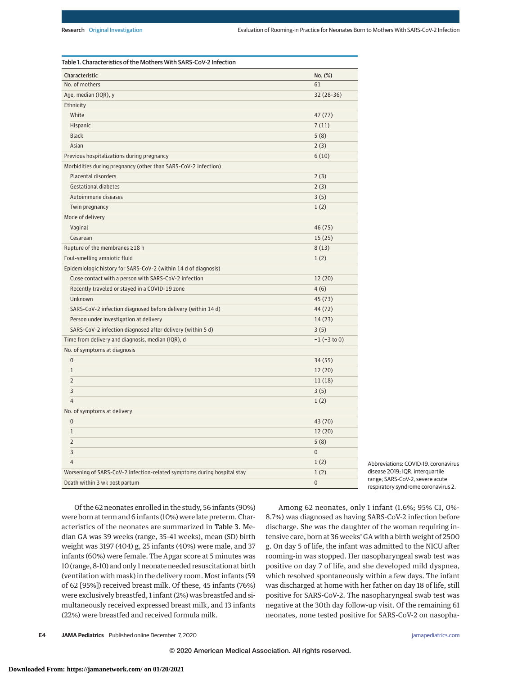| Characteristic                                                          | No. (%)           |
|-------------------------------------------------------------------------|-------------------|
| No. of mothers                                                          | 61                |
| Age, median (IQR), y                                                    | 32 (28-36)        |
| Ethnicity                                                               |                   |
| White                                                                   | 47(77)            |
| Hispanic                                                                | 7(11)             |
| <b>Black</b>                                                            | 5(8)              |
| Asian                                                                   | 2(3)              |
| Previous hospitalizations during pregnancy                              | 6(10)             |
| Morbidities during pregnancy (other than SARS-CoV-2 infection)          |                   |
| Placental disorders                                                     | 2(3)              |
| <b>Gestational diabetes</b>                                             | 2(3)              |
| Autoimmune diseases                                                     | 3(5)              |
| Twin pregnancy                                                          | 1(2)              |
| Mode of delivery                                                        |                   |
| Vaginal                                                                 | 46(75)            |
| Cesarean                                                                | 15(25)            |
| Rupture of the membranes ≥18 h                                          | 8(13)             |
| Foul-smelling amniotic fluid                                            | 1(2)              |
| Epidemiologic history for SARS-CoV-2 (within 14 d of diagnosis)         |                   |
| Close contact with a person with SARS-CoV-2 infection                   | 12(20)            |
| Recently traveled or stayed in a COVID-19 zone                          | 4(6)              |
| Unknown                                                                 | 45 (73)           |
| SARS-CoV-2 infection diagnosed before delivery (within 14 d)            | 44 (72)           |
| Person under investigation at delivery                                  | 14(23)            |
| SARS-CoV-2 infection diagnosed after delivery (within 5 d)              | 3(5)              |
| Time from delivery and diagnosis, median (IQR), d                       | $-1$ ( $-3$ to 0) |
| No. of symptoms at diagnosis                                            |                   |
| $\overline{0}$                                                          | 34(55)            |
| $\mathbf{1}$                                                            | 12(20)            |
| $\overline{2}$                                                          | 11(18)            |
| 3                                                                       | 3(5)              |
| $\overline{4}$                                                          | 1(2)              |
| No. of symptoms at delivery                                             |                   |
| $\Omega$                                                                | 43 (70)           |
| $\mathbf{1}$                                                            | 12(20)            |
| $\overline{2}$                                                          | 5(8)              |
| 3                                                                       | $\overline{0}$    |
| $\overline{4}$                                                          | 1(2)              |
| Worsening of SARS-CoV-2 infection-related symptoms during hospital stay | 1(2)              |
| Death within 3 wk post partum                                           | $\overline{0}$    |

Abbreviations: COVID-19, coronavirus disease 2019; IQR, interquartile range; SARS-CoV-2, severe acute respiratory syndrome coronavirus 2.

Of the 62 neonates enrolled in the study, 56 infants (90%) were born at term and 6 infants (10%) were late preterm. Characteristics of the neonates are summarized in Table 3. Median GA was 39 weeks (range, 35-41 weeks), mean (SD) birth weight was 3197 (404) g, 25 infants (40%) were male, and 37 infants (60%) were female. The Apgar score at 5 minutes was 10 (range, 8-10) and only 1 neonate needed resuscitation at birth (ventilation with mask) in the delivery room. Most infants (59 of 62 [95%]) received breast milk. Of these, 45 infants (76%) were exclusively breastfed, 1 infant (2%) was breastfed and simultaneously received expressed breast milk, and 13 infants (22%) were breastfed and received formula milk.

Among 62 neonates, only 1 infant (1.6%; 95% CI, 0%- 8.7%) was diagnosed as having SARS-CoV-2 infection before discharge. She was the daughter of the woman requiring intensive care, born at 36 weeks' GA with a birth weight of 2500 g. On day 5 of life, the infant was admitted to the NICU after rooming-in was stopped. Her nasopharyngeal swab test was positive on day 7 of life, and she developed mild dyspnea, which resolved spontaneously within a few days. The infant was discharged at home with her father on day 18 of life, still positive for SARS-CoV-2. The nasopharyngeal swab test was negative at the 30th day follow-up visit. Of the remaining 61 neonates, none tested positive for SARS-CoV-2 on nasopha-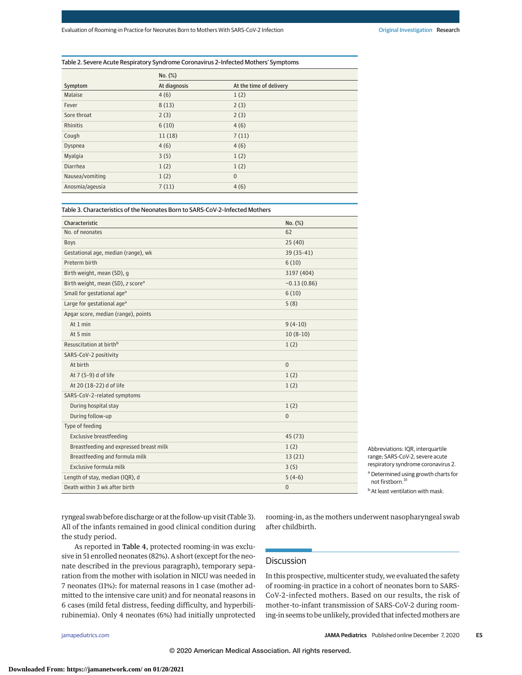## Table 2. Severe Acute Respiratory Syndrome Coronavirus 2–Infected Mothers' Symptoms

|                 | No. (%)      |                         |
|-----------------|--------------|-------------------------|
| Symptom         | At diagnosis | At the time of delivery |
| Malaise         | 4(6)         | 1(2)                    |
| Fever           | 8(13)        | 2(3)                    |
| Sore throat     | 2(3)         | 2(3)                    |
| Rhinitis        | 6(10)        | 4(6)                    |
| Cough           | 11(18)       | 7(11)                   |
| Dyspnea         | 4(6)         | 4(6)                    |
| Myalgia         | 3(5)         | 1(2)                    |
| Diarrhea        | 1(2)         | 1(2)                    |
| Nausea/vomiting | 1(2)         | $\mathbf{0}$            |
| Anosmia/ageusia | 7(11)        | 4(6)                    |

Table 3. Characteristics of the Neonates Born to SARS-CoV-2–Infected Mothers

| Characteristic                                | No. (%)        |
|-----------------------------------------------|----------------|
| No. of neonates                               | 62             |
| <b>Boys</b>                                   | 25(40)         |
| Gestational age, median (range), wk           | 39 (35-41)     |
| Preterm birth                                 | 6(10)          |
| Birth weight, mean (SD), g                    | 3197 (404)     |
| Birth weight, mean (SD), z score <sup>a</sup> | $-0.13(0.86)$  |
| Small for gestational age <sup>a</sup>        | 6(10)          |
| Large for gestational age <sup>a</sup>        | 5(8)           |
| Apgar score, median (range), points           |                |
| At 1 min                                      | $9(4-10)$      |
| At 5 min                                      | $10(8-10)$     |
| Resuscitation at birth <sup>b</sup>           | 1(2)           |
| SARS-CoV-2 positivity                         |                |
| At birth                                      | $\mathbf{0}$   |
| At 7 (5-9) d of life                          | 1(2)           |
| At 20 (18-22) d of life                       | 1(2)           |
| SARS-CoV-2-related symptoms                   |                |
| During hospital stay                          | 1(2)           |
| During follow-up                              | $\mathbf{0}$   |
| Type of feeding                               |                |
| <b>Exclusive breastfeeding</b>                | 45 (73)        |
| Breastfeeding and expressed breast milk       | 1(2)           |
| Breastfeeding and formula milk                | 13(21)         |
| Exclusive formula milk                        | 3(5)           |
| Length of stay, median (IQR), d               | $5(4-6)$       |
| Death within 3 wk after birth                 | $\overline{0}$ |

Abbreviations: IQR, interquartile range; SARS-CoV-2, severe acute respiratory syndrome coronavirus 2. <sup>a</sup> Determined using growth charts for not firstborn.<sup>31</sup>

**b** At least ventilation with mask.

ryngeal swab before discharge or at the follow-up visit (Table 3). All of the infants remained in good clinical condition during the study period.

As reported in Table 4, protected rooming-in was exclusive in 51 enrolled neonates (82%). A short (except for the neonate described in the previous paragraph), temporary separation from the mother with isolation in NICU was needed in 7 neonates (11%): for maternal reasons in 1 case (mother admitted to the intensive care unit) and for neonatal reasons in 6 cases (mild fetal distress, feeding difficulty, and hyperbilirubinemia). Only 4 neonates (6%) had initially unprotected

rooming-in, as the mothers underwent nasopharyngeal swab after childbirth.

# **Discussion**

In this prospective, multicenter study, we evaluated the safety of rooming-in practice in a cohort of neonates born to SARS-CoV-2–infected mothers. Based on our results, the risk of mother-to-infant transmission of SARS-CoV-2 during rooming-in seems to be unlikely, provided that infected mothers are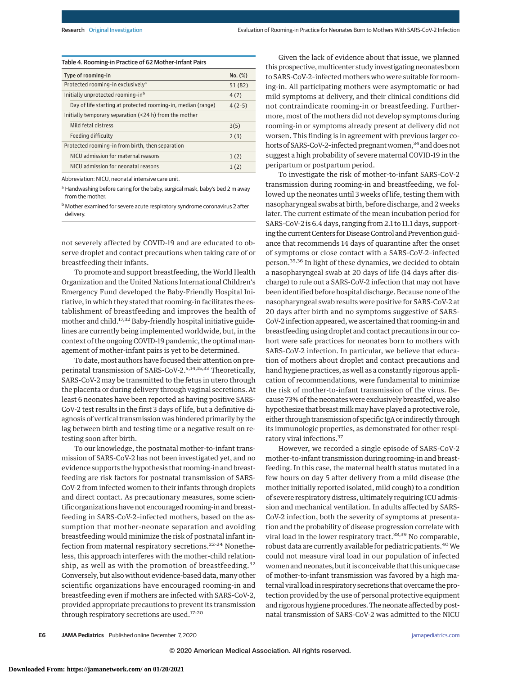| Table 4. Rooming-in Practice of 62 Mother-Infant Pairs       |          |
|--------------------------------------------------------------|----------|
| Type of rooming-in                                           | No. (%)  |
| Protected rooming-in exclusively <sup>a</sup>                | 51 (82)  |
| Initially unprotected rooming-inb                            | 4(7)     |
| Day of life starting at protected rooming-in, median (range) | $4(2-5)$ |
| Initially temporary separation (<24 h) from the mother       |          |
| Mild fetal distress                                          | 3(5)     |
| Feeding difficulty                                           | 2(3)     |
| Protected rooming-in from birth, then separation             |          |
| NICU admission for maternal reasons                          | 1(2)     |
| NICU admission for neonatal reasons                          | 1(2)     |

Abbreviation: NICU, neonatal intensive care unit.

a Handwashing before caring for the baby, surgical mask, baby's bed 2 m away from the mother.

**b** Mother examined for severe acute respiratory syndrome coronavirus 2 after delivery.

not severely affected by COVID-19 and are educated to observe droplet and contact precautions when taking care of or breastfeeding their infants.

To promote and support breastfeeding, the World Health Organization and the United Nations International Children's Emergency Fund developed the Baby-Friendly Hospital Initiative, in which they stated that rooming-in facilitates the establishment of breastfeeding and improves the health of mother and child.17,32 Baby-friendly hospital initiative guidelines are currently being implemented worldwide, but, in the context of the ongoing COVID-19 pandemic, the optimal management of mother-infant pairs is yet to be determined.

To date, most authors have focused their attention on preperinatal transmission of SARS-CoV-2.5,14,15,33 Theoretically, SARS-CoV-2 may be transmitted to the fetus in utero through the placenta or during delivery through vaginal secretions. At least 6 neonates have been reported as having positive SARS-CoV-2 test results in the first 3 days of life, but a definitive diagnosis of vertical transmission was hindered primarily by the lag between birth and testing time or a negative result on retesting soon after birth.

To our knowledge, the postnatal mother-to-infant transmission of SARS-CoV-2 has not been investigated yet, and no evidence supports the hypothesis that rooming-in and breastfeeding are risk factors for postnatal transmission of SARS-CoV-2 from infected women to their infants through droplets and direct contact. As precautionary measures, some scientific organizations have not encouraged rooming-in and breastfeeding in SARS-CoV-2–infected mothers, based on the assumption that mother-neonate separation and avoiding breastfeeding would minimize the risk of postnatal infant infection from maternal respiratory secretions.<sup>22-24</sup> Nonetheless, this approach interferes with the mother-child relationship, as well as with the promotion of breastfeeding.<sup>32</sup> Conversely, but also without evidence-based data,many other scientific organizations have encouraged rooming-in and breastfeeding even if mothers are infected with SARS-CoV-2, provided appropriate precautions to prevent its transmission through respiratory secretions are used.17-20

Given the lack of evidence about that issue, we planned this prospective, multicenter study investigating neonates born to SARS-CoV-2–infected mothers who were suitable for rooming-in. All participating mothers were asymptomatic or had mild symptoms at delivery, and their clinical conditions did not contraindicate rooming-in or breastfeeding. Furthermore, most of the mothers did not develop symptoms during rooming-in or symptoms already present at delivery did not worsen. This finding is in agreement with previous larger cohorts of SARS-CoV-2-infected pregnant women,<sup>34</sup> and does not suggest a high probability of severe maternal COVID-19 in the peripartum or postpartum period.

To investigate the risk of mother-to-infant SARS-CoV-2 transmission during rooming-in and breastfeeding, we followed up the neonates until 3 weeks of life, testing them with nasopharyngeal swabs at birth, before discharge, and 2 weeks later. The current estimate of the mean incubation period for SARS-CoV-2 is 6.4 days, ranging from 2.1 to 11.1 days, supporting the current Centers for Disease Control and Prevention guidance that recommends 14 days of quarantine after the onset of symptoms or close contact with a SARS-CoV-2–infected person.35,36 In light of these dynamics, we decided to obtain a nasopharyngeal swab at 20 days of life (14 days after discharge) to rule out a SARS-CoV-2 infection that may not have been identified before hospital discharge. Because none of the nasopharyngeal swab results were positive for SARS-CoV-2 at 20 days after birth and no symptoms suggestive of SARS-CoV-2 infection appeared, we ascertained that rooming-in and breastfeeding using droplet and contact precautions in our cohort were safe practices for neonates born to mothers with SARS-CoV-2 infection. In particular, we believe that education of mothers about droplet and contact precautions and hand hygiene practices, as well as a constantly rigorous application of recommendations, were fundamental to minimize the risk of mother-to-infant transmission of the virus. Because 73% of the neonates were exclusively breastfed, we also hypothesize that breast milk may have played a protective role, either through transmission of specific IgA or indirectly through its immunologic properties, as demonstrated for other respiratory viral infections.<sup>37</sup>

However, we recorded a single episode of SARS-CoV-2 mother-to-infant transmission during rooming-in and breastfeeding. In this case, the maternal health status mutated in a few hours on day 5 after delivery from a mild disease (the mother initially reported isolated, mild cough) to a condition of severe respiratory distress, ultimately requiring ICU admission and mechanical ventilation. In adults affected by SARS-CoV-2 infection, both the severity of symptoms at presentation and the probability of disease progression correlate with viral load in the lower respiratory tract.<sup>38,39</sup> No comparable, robust data are currently available for pediatric patients.<sup>40</sup> We could not measure viral load in our population of infected women and neonates, but it is conceivable that this unique case of mother-to-infant transmission was favored by a high maternal viral load in respiratory secretions that overcame the protection provided by the use of personal protective equipment and rigorous hygiene procedures. The neonate affected by postnatal transmission of SARS-CoV-2 was admitted to the NICU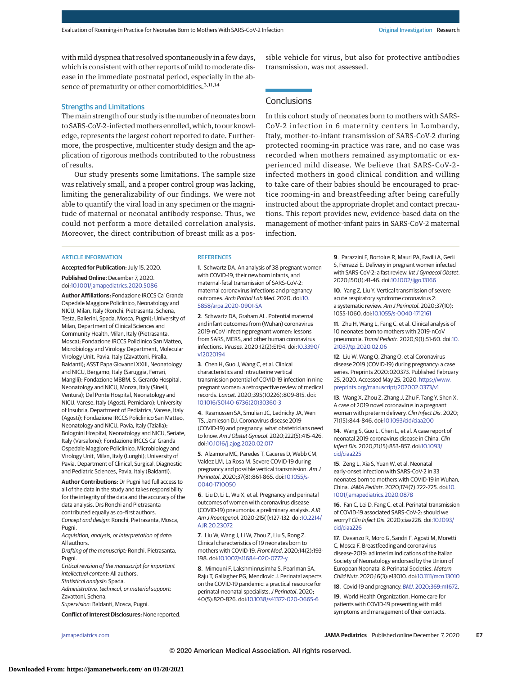with mild dyspnea that resolved spontaneously in a few days, which is consistent with other reports of mild to moderate disease in the immediate postnatal period, especially in the absence of prematurity or other comorbidities.<sup>3,11,14</sup>

## Strengths and Limitations

The main strength of our study is the number of neonates born to SARS-CoV-2-infected mothers enrolled, which, to our knowledge, represents the largest cohort reported to date. Furthermore, the prospective, multicenter study design and the application of rigorous methods contributed to the robustness of results.

Our study presents some limitations. The sample size was relatively small, and a proper control group was lacking, limiting the generalizability of our findings. We were not able to quantify the viral load in any specimen or the magnitude of maternal or neonatal antibody response. Thus, we could not perform a more detailed correlation analysis. Moreover, the direct contribution of breast milk as a pos-

#### **ARTICLE INFORMATION**

**Accepted for Publication:** July 15, 2020. **Published Online:** December 7, 2020. doi:10.1001/jamapediatrics.2020.5086

**Author Affiliations:** Fondazione IRCCS Ca' Granda Ospedale Maggiore Policlinico, Neonatology and NICU, Milan, Italy (Ronchi, Pietrasanta, Schena, Testa, Ballerini, Spada, Mosca, Pugni); University of Milan, Department of Clinical Sciences and Community Health, Milan, Italy (Pietrasanta, Mosca); Fondazione IRCCS Policlinico San Matteo, Microbiology and Virology Department, Molecular Virology Unit, Pavia, Italy (Zavattoni, Piralla, Baldanti); ASST Papa Giovanni XXIII, Neonatology and NICU, Bergamo, Italy (Saruggia, Ferrari, Mangili); Fondazione MBBM, S. Gerardo Hospital, Neonatology and NICU, Monza, Italy (Sinelli, Ventura); Del Ponte Hospital, Neonatology and NICU, Varese, Italy (Agosti, Perniciaro); University of Insubria, Department of Pediatrics, Varese, Italy (Agosti); Fondazione IRCCS Policlinico San Matteo, Neonatology and NICU, Pavia, Italy (Tzialla); Bolognini Hospital, Neonatology and NICU, Seriate, Italy (Varsalone); Fondazione IRCCS Ca' Granda Ospedale Maggiore Policlinico, Microbiology and Virology Unit, Milan, Italy (Lunghi); University of Pavia. Department of Clinical, Surgical, Diagnostic and Pediatric Sciences, Pavia, Italy (Baldanti).

**Author Contributions:** Dr Pugni had full access to all of the data in the study and takes responsibility for the integrity of the data and the accuracy of the data analysis. Drs Ronchi and Pietrasanta contributed equally as co–first authors. Concept and design: Ronchi, Pietrasanta, Mosca, Pugni.

Acquisition, analysis, or interpretation of data: All authors.

Drafting of the manuscript: Ronchi, Pietrasanta, Pugni.

Critical revision of the manuscript for important intellectual content: All authors.

Statistical analysis: Spada. Administrative, technical, or material support:

Zavattoni, Schena.

Supervision: Baldanti, Mosca, Pugni.

**Conflict of Interest Disclosures:** None reported.

#### **REFERENCES**

**1**. Schwartz DA. An analysis of 38 pregnant women with COVID-19, their newborn infants, and maternal-fetal transmission of SARS-CoV-2: maternal coronavirus infections and pregnancy outcomes. Arch Pathol Lab Med. 2020. doi:10. 5858/arpa.2020-0901-SA

**2**. Schwartz DA, Graham AL. Potential maternal and infant outcomes from (Wuhan) coronavirus 2019-nCoV infecting pregnant women: lessons from SARS, MERS, and other human coronavirus infections. Viruses. 2020;12(2):E194. doi:10.3390/ v12020194

**3**. Chen H, Guo J, Wang C, et al. Clinical characteristics and intrauterine vertical transmission potential of COVID-19 infection in nine pregnant women: a retrospective review of medical records. Lancet. 2020;395(10226):809-815. doi: 10.1016/S0140-6736(20)30360-3

**4**. Rasmussen SA, Smulian JC, Lednicky JA, Wen TS, Jamieson DJ. Coronavirus disease 2019 (COVID-19) and pregnancy: what obstetricians need to know. Am J Obstet Gynecol. 2020;222(5):415-426. doi:10.1016/j.ajog.2020.02.017

**5**. Alzamora MC, Paredes T, Caceres D, Webb CM, Valdez LM, La Rosa M. Severe COVID-19 during pregnancy and possible vertical transmission. Am J Perinatol. 2020;37(8):861-865. doi:10.1055/s-0040-1710050

**6**. Liu D, Li L, Wu X, et al. Pregnancy and perinatal outcomes of women with coronavirus disease (COVID-19) pneumonia: a preliminary analysis. AJR Am J Roentgenol. 2020;215(1):127-132. doi:10.2214/ AJR.20.23072

**7**. Liu W, Wang J, Li W, Zhou Z, Liu S, Rong Z. Clinical characteristics of 19 neonates born to mothers with COVID-19. Front Med. 2020;14(2):193- 198. doi:10.1007/s11684-020-0772-y

**8**. Mimouni F, Lakshminrusimha S, Pearlman SA, Raju T, Gallagher PG, Mendlovic J. Perinatal aspects on the COVID-19 pandemic: a practical resource for perinatal-neonatal specialists. J Perinatol. 2020; 40(5):820-826. doi:10.1038/s41372-020-0665-6

sible vehicle for virus, but also for protective antibodies transmission, was not assessed.

# **Conclusions**

In this cohort study of neonates born to mothers with SARS-CoV-2 infection in 6 maternity centers in Lombardy, Italy, mother-to-infant transmission of SARS-CoV-2 during protected rooming-in practice was rare, and no case was recorded when mothers remained asymptomatic or experienced mild disease. We believe that SARS-CoV-2– infected mothers in good clinical condition and willing to take care of their babies should be encouraged to practice rooming-in and breastfeeding after being carefully instructed about the appropriate droplet and contact precautions. This report provides new, evidence-based data on the management of mother-infant pairs in SARS-CoV-2 maternal infection.

> **9**. Parazzini F, Bortolus R, Mauri PA, Favilli A, Gerli S, Ferrazzi E. Delivery in pregnant women infected with SARS-CoV-2: a fast review. Int J Gynaecol Obstet. 2020;150(1):41-46. doi:10.1002/ijgo.13166

**10**. Yang Z, Liu Y. Vertical transmission of severe acute respiratory syndrome coronavirus 2: a systematic review. Am J Perinatol. 2020;37(10): 1055-1060. doi:10.1055/s-0040-1712161

**11**. Zhu H, Wang L, Fang C, et al. Clinical analysis of 10 neonates born to mothers with 2019-nCoV pneumonia. Transl Pediatr. 2020;9(1):51-60. doi:10. 21037/tp.2020.02.06

**12**. Liu W, Wang Q, Zhang Q, et al Coronavirus disease 2019 (COVID-19) during pregnancy: a case series. Preprints 2020:020373. Published February 25, 2020. Accessed May 25, 2020. https://www. preprints.org/manuscript/202002.0373/v1

**13**. Wang X, Zhou Z, Zhang J, Zhu F, Tang Y, Shen X. A case of 2019 novel coronavirus in a pregnant woman with preterm delivery. Clin Infect Dis. 2020; 71(15):844-846. doi:10.1093/cid/ciaa200

**14**. Wang S, Guo L, Chen L, et al. A case report of neonatal 2019 coronavirus disease in China. Clin Infect Dis. 2020;71(15):853-857. doi:10.1093/ cid/ciaa225

**15**. Zeng L, Xia S, Yuan W, et al. Neonatal early-onset infection with SARS-CoV-2 in 33 neonates born to mothers with COVID-19 in Wuhan, China.JAMA Pediatr. 2020;174(7):722-725. doi:10. 1001/jamapediatrics.2020.0878

**16**. Fan C, Lei D, Fang C, et al. Perinatal transmission of COVID-19 associated SARS-CoV-2: should we worry? Clin Infect Dis. 2020;ciaa226. doi:10.1093/ cid/ciaa226

**17**. Davanzo R, Moro G, Sandri F, Agosti M, Moretti C, Mosca F. Breastfeeding and coronavirus disease-2019: ad interim indications of the Italian Society of Neonatology endorsed by the Union of European Neonatal & Perinatal Societies. Matern Child Nutr. 2020;16(3):e13010. doi:10.1111/mcn.13010

**18**. Covid-19 and pregnancy. BMJ. 2020;369:m1672.

**19**. World Health Organization. Home care for patients with COVID-19 presenting with mild symptoms and management of their contacts.